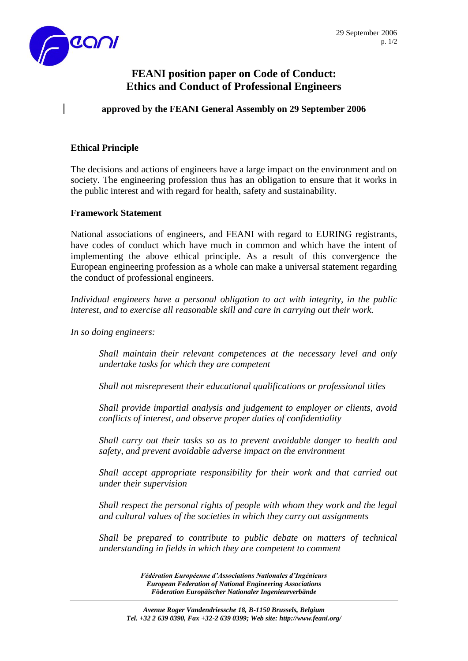

# **FEANI position paper on Code of Conduct: Ethics and Conduct of Professional Engineers**

## **approved by the FEANI General Assembly on 29 September 2006**

### **Ethical Principle**

The decisions and actions of engineers have a large impact on the environment and on society. The engineering profession thus has an obligation to ensure that it works in the public interest and with regard for health, safety and sustainability.

### **Framework Statement**

National associations of engineers, and FEANI with regard to EURING registrants, have codes of conduct which have much in common and which have the intent of implementing the above ethical principle. As a result of this convergence the European engineering profession as a whole can make a universal statement regarding the conduct of professional engineers.

*Individual engineers have a personal obligation to act with integrity, in the public interest, and to exercise all reasonable skill and care in carrying out their work.* 

*In so doing engineers:*

*Shall maintain their relevant competences at the necessary level and only undertake tasks for which they are competent*

*Shall not misrepresent their educational qualifications or professional titles*

*Shall provide impartial analysis and judgement to employer or clients, avoid conflicts of interest, and observe proper duties of confidentiality*

*Shall carry out their tasks so as to prevent avoidable danger to health and safety, and prevent avoidable adverse impact on the environment*

*Shall accept appropriate responsibility for their work and that carried out under their supervision*

*Shall respect the personal rights of people with whom they work and the legal and cultural values of the societies in which they carry out assignments*

*Shall be prepared to contribute to public debate on matters of technical understanding in fields in which they are competent to comment*

> *Fédération Européenne d'Associations Nationales d'Ingénieurs European Federation of National Engineering Associations Föderation Europäischer Nationaler Ingenieurverbände*